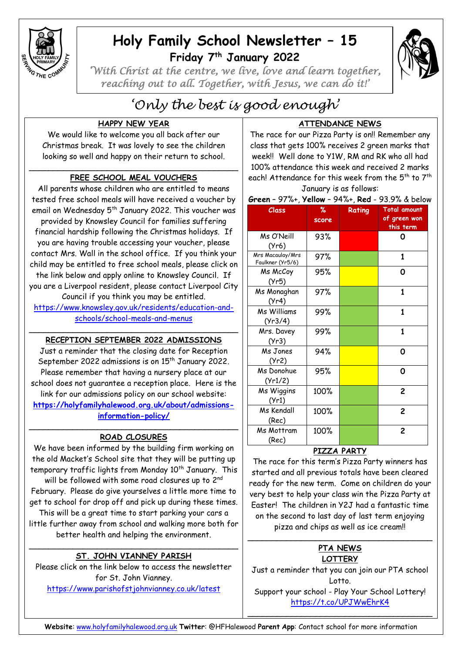

# **Holy Family School Newsletter – 15 Friday 7 th January 2022**



*'With Christ at the centre, we live, love and learn together, reaching out to all. Together, with Jesus, we can do it!'* 

# *'Only the best is good enough'*

# **HAPPY NEW YEAR**

We would like to welcome you all back after our Christmas break. It was lovely to see the children looking so well and happy on their return to school.

### \_\_\_\_\_\_\_\_\_\_\_\_\_\_\_\_\_\_\_\_\_\_\_\_\_\_\_\_\_\_\_\_\_\_\_\_\_\_\_\_\_\_\_ **FREE SCHOOL MEAL VOUCHERS**

All parents whose children who are entitled to means tested free school meals will have received a voucher by email on Wednesday 5<sup>th</sup> January 2022. This voucher was provided by Knowsley Council for families suffering financial hardship following the Christmas holidays. If you are having trouble accessing your voucher, please contact Mrs. Wall in the school office. If you think your child may be entitled to free school meals, please click on the link below and apply online to Knowsley Council. If you are a Liverpool resident, please contact Liverpool City Council if you think you may be entitled.

[https://www.knowsley.gov.uk/residents/education-and](https://www.knowsley.gov.uk/residents/education-and-schools/school-meals-and-menus)[schools/school-meals-and-menus](https://www.knowsley.gov.uk/residents/education-and-schools/school-meals-and-menus)

#### \_\_\_\_\_\_\_\_\_\_\_\_\_\_\_\_\_\_\_\_\_\_\_\_\_\_\_\_\_\_\_\_\_\_\_\_\_\_\_\_\_\_\_ **RECEPTION SEPTEMBER 2022 ADMISSIONS**

Just a reminder that the closing date for Reception September 2022 admissions is on 15<sup>th</sup> January 2022. Please remember that having a nursery place at our school does not guarantee a reception place. Here is the link for our admissions policy on our school website: **[https://holyfamilyhalewood.org.uk/about/admissions](https://holyfamilyhalewood.org.uk/about/admissions-information-policy/)[information-policy/](https://holyfamilyhalewood.org.uk/about/admissions-information-policy/)**

#### $\overline{\phantom{a}}$  , and the contract of the contract of the contract of the contract of the contract of the contract of the contract of the contract of the contract of the contract of the contract of the contract of the contrac **ROAD CLOSURES**

We have been informed by the building firm working on the old Macket's School site that they will be putting up temporary traffic lights from Monday 10<sup>th</sup> January. This will be followed with some road closures up to  $2^{\mathsf{nd}}$ February. Please do give yourselves a little more time to get to school for drop off and pick up during these times. This will be a great time to start parking your cars a little further away from school and walking more both for better health and helping the environment.

#### \_\_\_\_\_\_\_\_\_\_\_\_\_\_\_\_\_\_\_\_\_\_\_\_\_\_\_\_\_\_\_\_\_\_\_\_\_\_\_\_\_\_\_ **ST. JOHN VIANNEY PARISH**

Please click on the link below to access the newsletter for St. John Vianney. <https://www.parishofstjohnvianney.co.uk/latest>

# **ATTENDANCE NEWS**

The race for our Pizza Party is on!! Remember any class that gets 100% receives 2 green marks that week!! Well done to Y1W, RM and RK who all had 100% attendance this week and received 2 marks each! Attendance for this week from the 5<sup>th</sup> to 7<sup>th</sup> January is as follows:

**Green** – 97%+, **Yellow** – 94%+, **Red** - 93.9% & below

| <b>Class</b>                         | %<br>score | Rating | <b>Total amount</b><br>of green won<br>this term |
|--------------------------------------|------------|--------|--------------------------------------------------|
| Ms O'Neill<br>(Yr6)                  | 93%        |        | Ο                                                |
| Mrs Macaulay/Mrs<br>Faulkner (Yr5/6) | 97%        |        | $\mathbf 1$                                      |
| Ms McCoy<br>(Yr5)                    | 95%        |        | 0                                                |
| Ms Monaghan<br>(Yr4)                 | 97%        |        | $\mathbf{1}$                                     |
| Ms Williams<br>(Yr3/4)               | 99%        |        | 1                                                |
| Mrs. Davey<br>(Yr3)                  | 99%        |        | $\mathbf{1}$                                     |
| Ms Jones<br>(Yr2)                    | 94%        |        | 0                                                |
| Ms Donohue<br>(Yr1/2)                | 95%        |        | Ο                                                |
| Ms Wiggins<br>(Yr1)                  | 100%       |        | $\overline{c}$                                   |
| Ms Kendall<br>(Rec)                  | 100%       |        | $\overline{c}$                                   |
| Ms Mottram<br>(Rec)                  | 100%       |        | $\overline{c}$                                   |

# **PIZZA PARTY**

The race for this term's Pizza Party winners has started and all previous totals have been cleared ready for the new term. Come on children do your very best to help your class win the Pizza Party at Easter! The children in Y2J had a fantastic time on the second to last day of last term enjoying pizza and chips as well as ice cream!!

#### \_\_\_\_\_\_\_\_\_\_\_\_\_\_\_\_\_\_\_\_\_\_\_\_\_\_\_\_\_\_\_\_\_\_\_\_\_\_ **PTA NEWS LOTTERY**

Just a reminder that you can join our PTA school Lotto. Support your school - Play Your School Lottery! <https://t.co/UPJWwEhrK4>

\_\_\_\_\_\_\_\_\_\_\_\_\_\_\_\_\_\_\_\_\_\_\_\_\_\_\_\_\_\_\_\_\_\_\_\_\_\_

**Website**: [www.holyfamilyhalewood.org.uk](http://www.holyfamilyhalewood.org.uk/) **Twitter**: @HFHalewood **Parent App**: Contact school for more information